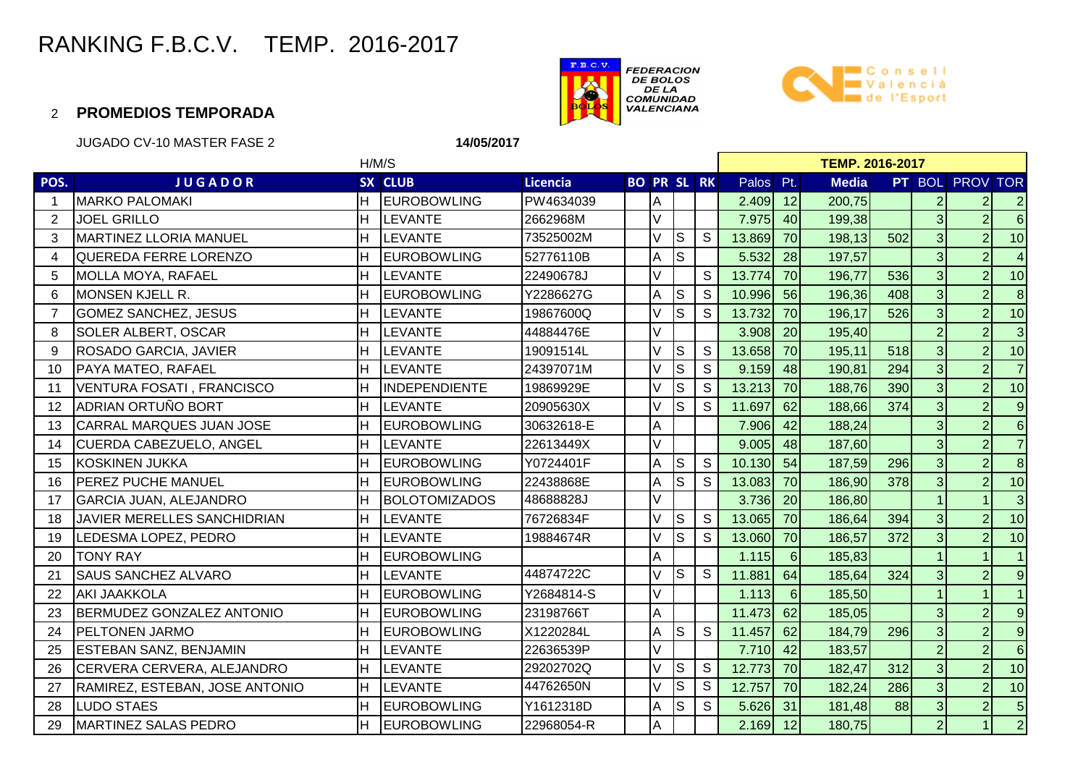



#### 2 **PROMEDIOS TEMPORADA**

JUGADO CV-10 MASTER FASE 2

**14/05/2017**

|                | H/M/S                          |    |                      |            |                    |   |                         |               | <b>TEMP. 2016-2017</b> |                  |              |     |                |                        |                         |  |  |
|----------------|--------------------------------|----|----------------------|------------|--------------------|---|-------------------------|---------------|------------------------|------------------|--------------|-----|----------------|------------------------|-------------------------|--|--|
| POS.           | <b>JUGADOR</b>                 |    | SX CLUB              | Licencia   | <b>BO PR SL RK</b> |   |                         |               | Palos Pt.              |                  | <b>Media</b> |     |                | <b>PT BOL PROV TOR</b> |                         |  |  |
| -1             | <b>MARKO PALOMAKI</b>          | H. | <b>EUROBOWLING</b>   | PW4634039  |                    | A |                         |               | 2.409                  | 12               | 200,75       |     | $\overline{2}$ | $\overline{2}$         | $\overline{a}$          |  |  |
| $\overline{2}$ | <b>JOEL GRILLO</b>             | H. | <b>LEVANTE</b>       | 2662968M   |                    | V |                         |               | 7.975                  | 40 <sup>1</sup>  | 199,38       |     | 3 <sup>l</sup> | $\overline{2}$         | $6\overline{6}$         |  |  |
| 3              | <b>MARTINEZ LLORIA MANUEL</b>  | H  | <b>LEVANTE</b>       | 73525002M  |                    | V | $\overline{\mathsf{s}}$ | $\mathsf S$   | 13.869                 | 70               | 198,13       | 502 | 3 <sup>1</sup> | $\overline{2}$         | 10                      |  |  |
| 4              | QUEREDA FERRE LORENZO          | H  | <b>EUROBOWLING</b>   | 52776110B  |                    | A | $\overline{\mathsf{s}}$ |               | 5.532                  | 28               | 197,57       |     | 3 <sup>1</sup> | $\overline{2}$         | $\overline{\mathbf{4}}$ |  |  |
| 5              | <b>MOLLA MOYA, RAFAEL</b>      | H  | <b>LEVANTE</b>       | 22490678J  |                    | V |                         | S             | 13.774                 | 70               | 196,77       | 536 | 3 <sup>1</sup> | $\overline{2}$         | 10                      |  |  |
| 6              | <b>MONSEN KJELL R.</b>         | H  | <b>EUROBOWLING</b>   | Y2286627G  |                    | A | ls                      | S             | 10.996                 | 56               | 196,36       | 408 | $\overline{3}$ | $\overline{2}$         | $\bf{8}$                |  |  |
| $\overline{7}$ | <b>GOMEZ SANCHEZ, JESUS</b>    | н  | <b>LEVANTE</b>       | 19867600Q  |                    | V | ls                      | S             | 13.732                 | 70               | 196,17       | 526 | 3 <sup>1</sup> | $\overline{2}$         | 10                      |  |  |
| 8              | <b>SOLER ALBERT, OSCAR</b>     | H  | <b>LEVANTE</b>       | 44884476E  |                    | V |                         |               | 3.908                  | 20               | 195,40       |     | $\overline{2}$ | $\overline{2}$         | $\overline{3}$          |  |  |
| 9              | ROSADO GARCIA, JAVIER          | H. | <b>LEVANTE</b>       | 19091514L  |                    | V | ls                      | $\mathsf S$   | 13.658                 | <b>70</b>        | 195,11       | 518 | 3 <sup>1</sup> | $\overline{2}$         | 10                      |  |  |
| 10             | <b>PAYA MATEO, RAFAEL</b>      | H. | <b>LEVANTE</b>       | 24397071M  |                    | V | ls                      | S             | 9.159                  | 48               | 190,81       | 294 | 3 <sup>1</sup> | $\overline{2}$         | $\overline{7}$          |  |  |
| 11             | VENTURA FOSATI, FRANCISCO      | н  | <b>INDEPENDIENTE</b> | 19869929E  |                    | V | ls                      | S             | 13.213                 | 70               | 188,76       | 390 | 3 <sup>1</sup> | 2 <sup>1</sup>         | 10                      |  |  |
| 12             | ADRIAN ORTUÑO BORT             | н  | <b>LEVANTE</b>       | 20905630X  |                    |   | $\mathbb S$             | S             | 11.697                 | 62               | 188,66       | 374 | 3 <sup>1</sup> | $\overline{2}$         | $\overline{9}$          |  |  |
| 13             | CARRAL MARQUES JUAN JOSE       | H  | <b>EUROBOWLING</b>   | 30632618-E |                    | A |                         |               | 7.906                  | 42               | 188,24       |     | 3 <sup>1</sup> | 2                      | $6\overline{6}$         |  |  |
| 14             | CUERDA CABEZUELO, ANGEL        |    | <b>LEVANTE</b>       | 22613449X  |                    | V |                         |               | 9.005                  | 48               | 187,60       |     | 3 <sup>1</sup> | $\overline{2}$         | $\overline{7}$          |  |  |
| 15             | <b>KOSKINEN JUKKA</b>          | H  | <b>EUROBOWLING</b>   | Y0724401F  |                    | A | ls                      | S             | 10.130                 | 54               | 187,59       | 296 | 3 <sup>1</sup> | $\overline{2}$         | $\bf{8}$                |  |  |
| 16             | <b>IPEREZ PUCHE MANUEL</b>     | H  | <b>EUROBOWLING</b>   | 22438868E  |                    | A | ls                      | S             | 13.083                 | 70               | 186,90       | 378 | 3 <sup>1</sup> | $\overline{2}$         | 10                      |  |  |
| 17             | <b>GARCIA JUAN, ALEJANDRO</b>  |    | <b>BOLOTOMIZADOS</b> | 48688828J  |                    | V |                         |               | 3.736                  | 20               | 186,80       |     |                |                        | $\mathbf{3}$            |  |  |
| 18             | JAVIER MERELLES SANCHIDRIAN    | H  | <b>LEVANTE</b>       | 76726834F  |                    | V | $\overline{\mathsf{s}}$ | S             | 13.065                 | 70               | 186,64       | 394 | 3 <sup>l</sup> | $\overline{2}$         | 10                      |  |  |
| 19             | LEDESMA LOPEZ, PEDRO           | н  | <b>LEVANTE</b>       | 19884674R  |                    |   | ls                      | S             | 13.060                 | <b>70</b>        | 186,57       | 372 | 3 <sup>1</sup> | $\overline{2}$         | 10                      |  |  |
| 20             | <b>TONY RAY</b>                | н  | <b>EUROBOWLING</b>   |            |                    | A |                         |               | 1.115                  | $6 \overline{6}$ | 185,83       |     |                |                        | $\vert$ 1               |  |  |
| 21             | <b>SAUS SANCHEZ ALVARO</b>     | H  | <b>LEVANTE</b>       | 44874722C  |                    | V | $\overline{\mathsf{s}}$ | ${\mathsf S}$ | 11.881                 | 64               | 185,64       | 324 | 3 <sup>1</sup> | $\overline{2}$         | $\overline{9}$          |  |  |
| 22             | <b>AKI JAAKKOLA</b>            |    | <b>EUROBOWLING</b>   | Y2684814-S |                    | V |                         |               | 1.113                  | $6 \mid$         | 185,50       |     |                |                        | $\vert$ 1               |  |  |
| 23             | BERMUDEZ GONZALEZ ANTONIO      | H  | <b>EUROBOWLING</b>   | 23198766T  |                    | A |                         |               | 11.473                 | 62               | 185,05       |     | 3 <sup>l</sup> | $\overline{2}$         | $\overline{9}$          |  |  |
| 24             | <b>PELTONEN JARMO</b>          |    | <b>EUROBOWLING</b>   | X1220284L  |                    | Α | lS.                     | $\mathsf{S}$  | 11.457                 | 62               | 184,79       | 296 | 3 <sup>l</sup> | $\overline{2}$         | $\overline{9}$          |  |  |
| 25             | <b>ESTEBAN SANZ, BENJAMIN</b>  | H  | <b>LEVANTE</b>       | 22636539P  |                    | V |                         |               | 7.710                  | 42               | 183,57       |     | $\overline{2}$ | $\overline{2}$         | $6\overline{6}$         |  |  |
| 26             | CERVERA CERVERA, ALEJANDRO     | H  | <b>LEVANTE</b>       | 29202702Q  |                    | V | $\vert$ S               | ${\mathbb S}$ | 12.773                 | 70               | 182,47       | 312 | 3 <sup>1</sup> | $\overline{2}$         | 10                      |  |  |
| 27             | RAMIREZ, ESTEBAN, JOSE ANTONIO | H  | <b>LEVANTE</b>       | 44762650N  |                    | V | lS                      | S             | 12.757                 | 70               | 182,24       | 286 | $\overline{3}$ | $\overline{2}$         | 10                      |  |  |
| 28             | <b>LUDO STAES</b>              | H  | <b>EUROBOWLING</b>   | Y1612318D  |                    | Α | $\overline{\mathsf{s}}$ | S             | 5.626                  | 31               | 181,48       | 88  | 3 <sup>1</sup> | $\overline{2}$         | $5\phantom{.0}$         |  |  |
| 29             | <b>MARTINEZ SALAS PEDRO</b>    |    | <b>EUROBOWLING</b>   | 22968054-R |                    | A |                         |               | 2.169                  | 12               | 180,75       |     | 2 <sup>1</sup> |                        | $\overline{2}$          |  |  |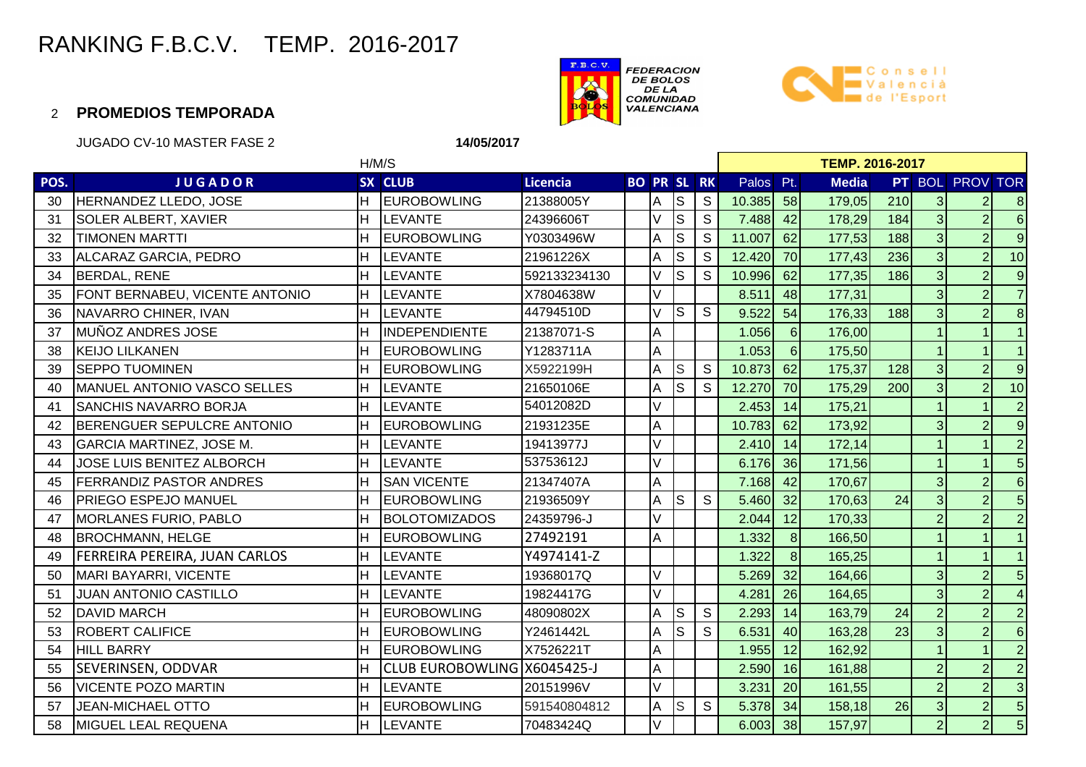



#### 2 **PROMEDIOS TEMPORADA**

JUGADO CV-10 MASTER FASE 2

**14/05/2017**

|      | H/M/S                              |     |                             |                 |                    |   |             |              | <b>TEMP. 2016-2017</b> |                |              |     |                |                 |                |  |  |
|------|------------------------------------|-----|-----------------------------|-----------------|--------------------|---|-------------|--------------|------------------------|----------------|--------------|-----|----------------|-----------------|----------------|--|--|
| POS. | <b>JUGADOR</b>                     |     | SX CLUB                     | <b>Licencia</b> | <b>BO PR SL RK</b> |   |             |              | Palos Pt.              |                | <b>Media</b> |     |                | PT BOL PROV TOR |                |  |  |
| 30   | HERNANDEZ LLEDO, JOSE              | IH. | EUROBOWLING                 | 21388005Y       |                    | Α | $\mathbb S$ | S            | 10.385                 | 58             | 179,05       | 210 | $\overline{3}$ | $\overline{2}$  | 8              |  |  |
| 31   | <b>SOLER ALBERT, XAVIER</b>        | H   | <b>ILEVANTE</b>             | 24396606T       |                    |   | S           | S            | 7.488                  | 42             | 178,29       | 184 | $\overline{3}$ | $\overline{2}$  | $6\phantom{1}$ |  |  |
| 32   | <b>TIMONEN MARTTI</b>              |     | <b>EUROBOWLING</b>          | Y0303496W       |                    | Α | $\mathbb S$ | $\mathsf S$  | 11.007                 | 62             | 177,53       | 188 | $\overline{3}$ | $\overline{2}$  | 9              |  |  |
| 33   | ALCARAZ GARCIA, PEDRO              |     | <b>LEVANTE</b>              | 21961226X       |                    |   | S           | S            | 12.420                 | 70             | 177,43       | 236 | $\overline{3}$ | $\overline{2}$  | 10             |  |  |
| 34   | <b>BERDAL, RENE</b>                | IH. | <b>LEVANTE</b>              | 592133234130    |                    |   | $\mathsf S$ | S            | 10.996                 | 62             | 177,35       | 186 | $\overline{3}$ | $\overline{2}$  | $\overline{9}$ |  |  |
| 35   | FONT BERNABEU, VICENTE ANTONIO     | lH. | <b>LEVANTE</b>              | X7804638W       |                    | V |             |              | 8.511                  | 48             | 177,31       |     | $\overline{3}$ | $\overline{2}$  | $\overline{7}$ |  |  |
| 36   | NAVARRO CHINER, IVAN               | lн  | <b>LEVANTE</b>              | 44794510D       |                    |   | S           | S            | 9.522                  | 54             | 176,33       | 188 | $\overline{3}$ | $\overline{2}$  | 8              |  |  |
| 37   | <b>MUÑOZ ANDRES JOSE</b>           | lн  | INDEPENDIENTE               | 21387071-S      |                    | Α |             |              | 1.056                  | $\,6\,$        | 176,00       |     |                |                 |                |  |  |
| 38   | <b>KEIJO LILKANEN</b>              | H   | <b>EUROBOWLING</b>          | Y1283711A       |                    | Α |             |              | 1.053                  | $6\phantom{1}$ | 175,50       |     |                |                 |                |  |  |
| 39   | <b>SEPPO TUOMINEN</b>              | Iн  | <b>EUROBOWLING</b>          | X5922199H       |                    | Α | $\mathbb S$ | S            | 10.873                 | 62             | 175,37       | 128 | 3              | $\overline{2}$  | $\overline{9}$ |  |  |
| 40   | <b>MANUEL ANTONIO VASCO SELLES</b> | lн  | <b>LEVANTE</b>              | 21650106E       |                    | Α | $\mathsf S$ | S            | 12.270                 | 70             | 175,29       | 200 | $\overline{3}$ | $\overline{2}$  | 10             |  |  |
| 41   | <b>SANCHIS NAVARRO BORJA</b>       | IH. | <b>ILEVANTE</b>             | 54012082D       |                    | V |             |              | 2.453                  | 14             | 175,21       |     |                |                 | $\overline{2}$ |  |  |
| 42   | BERENGUER SEPULCRE ANTONIO         |     | <b>IEUROBOWLING</b>         | 21931235E       |                    | A |             |              | 10.783                 | 62             | 173,92       |     | $\overline{3}$ | $\overline{2}$  | $\overline{9}$ |  |  |
| 43   | GARCIA MARTINEZ, JOSE M.           |     | LEVANTE                     | 19413977J       |                    |   |             |              | 2.410                  | 14             | 172,14       |     |                |                 | $\overline{2}$ |  |  |
| 44   | <b>JOSE LUIS BENITEZ ALBORCH</b>   | lH. | <b>LEVANTE</b>              | 53753612J       |                    | V |             |              | 6.176                  | 36             | 171,56       |     |                |                 | $\overline{5}$ |  |  |
| 45   | <b>FERRANDIZ PASTOR ANDRES</b>     | Iн  | <b>SAN VICENTE</b>          | 21347407A       |                    | A |             |              | 7.168                  | 42             | 170,67       |     | $\overline{3}$ | $\overline{2}$  | $6\phantom{1}$ |  |  |
| 46   | PRIEGO ESPEJO MANUEL               | lн  | <b>EUROBOWLING</b>          | 21936509Y       |                    | Α | S           | S            | 5.460                  | 32             | 170,63       | 24  | $\overline{3}$ | $\overline{2}$  | $\overline{5}$ |  |  |
| 47   | <b>MORLANES FURIO, PABLO</b>       | H   | <b>BOLOTOMIZADOS</b>        | 24359796-J      |                    |   |             |              | 2.044                  | 12             | 170,33       |     | $\overline{2}$ | $\overline{2}$  | $\overline{2}$ |  |  |
| 48   | <b>BROCHMANN, HELGE</b>            |     | <b>EUROBOWLING</b>          | 27492191        |                    | Α |             |              | 1.332                  | 8              | 166,50       |     |                |                 |                |  |  |
| 49   | FERREIRA PEREIRA, JUAN CARLOS      | lн  | <b>LEVANTE</b>              | Y4974141-Z      |                    |   |             |              | 1.322                  | 8              | 165,25       |     |                |                 |                |  |  |
| 50   | MARI BAYARRI, VICENTE              | IH. | <b>ILEVANTE</b>             | 19368017Q       |                    | V |             |              | 5.269                  | 32             | 164,66       |     | 3              | $\overline{2}$  | 5              |  |  |
| 51   | <b>JUAN ANTONIO CASTILLO</b>       | ΙH  | <b>LEVANTE</b>              | 19824417G       |                    | V |             |              | 4.281                  | 26             | 164,65       |     | $\overline{3}$ |                 | $\overline{4}$ |  |  |
| 52   | <b>DAVID MARCH</b>                 |     | <b>IEUROBOWLING</b>         | 48090802X       |                    | A | $\mathbb S$ | $\mathsf{S}$ | 2.293                  | 14             | 163,79       | 24  | $\overline{2}$ | $\overline{2}$  | $\overline{2}$ |  |  |
| 53   | <b>ROBERT CALIFICE</b>             |     | <b>EUROBOWLING</b>          | Y2461442L       |                    | A | S           | S            | 6.531                  | 40             | 163,28       | 23  | 3              | $\overline{2}$  | $6\phantom{1}$ |  |  |
| 54   | <b>HILL BARRY</b>                  | lН  | <b>EUROBOWLING</b>          | X7526221T       |                    | А |             |              | 1.955                  | 12             | 162,92       |     |                |                 | $\overline{2}$ |  |  |
| 55   | <b>SEVERINSEN, ODDVAR</b>          | lн  | CLUB EUROBOWLING X6045425-J |                 |                    | A |             |              | 2.590                  | 16             | 161,88       |     | $\overline{2}$ | $\overline{2}$  | $\overline{2}$ |  |  |
| 56   | <b>VICENTE POZO MARTIN</b>         | H   | <b>LEVANTE</b>              | 20151996V       |                    | V |             |              | 3.231                  | 20             | 161,55       |     | $\overline{2}$ | $\overline{2}$  | $\mathbf{3}$   |  |  |
| 57   | <b>JEAN-MICHAEL OTTO</b>           | H   | <b>EUROBOWLING</b>          | 591540804812    |                    | A | $\mathbb S$ | $\mathbb S$  | 5.378                  | 34             | 158,18       | 26  | $\overline{3}$ | $\overline{2}$  | $\overline{5}$ |  |  |
| 58   | <b>MIGUEL LEAL REQUENA</b>         |     | <b>LEVANTE</b>              | 70483424Q       |                    |   |             |              | 6.003                  | 38             | 157,97       |     | $\overline{2}$ | $\overline{2}$  | $\overline{5}$ |  |  |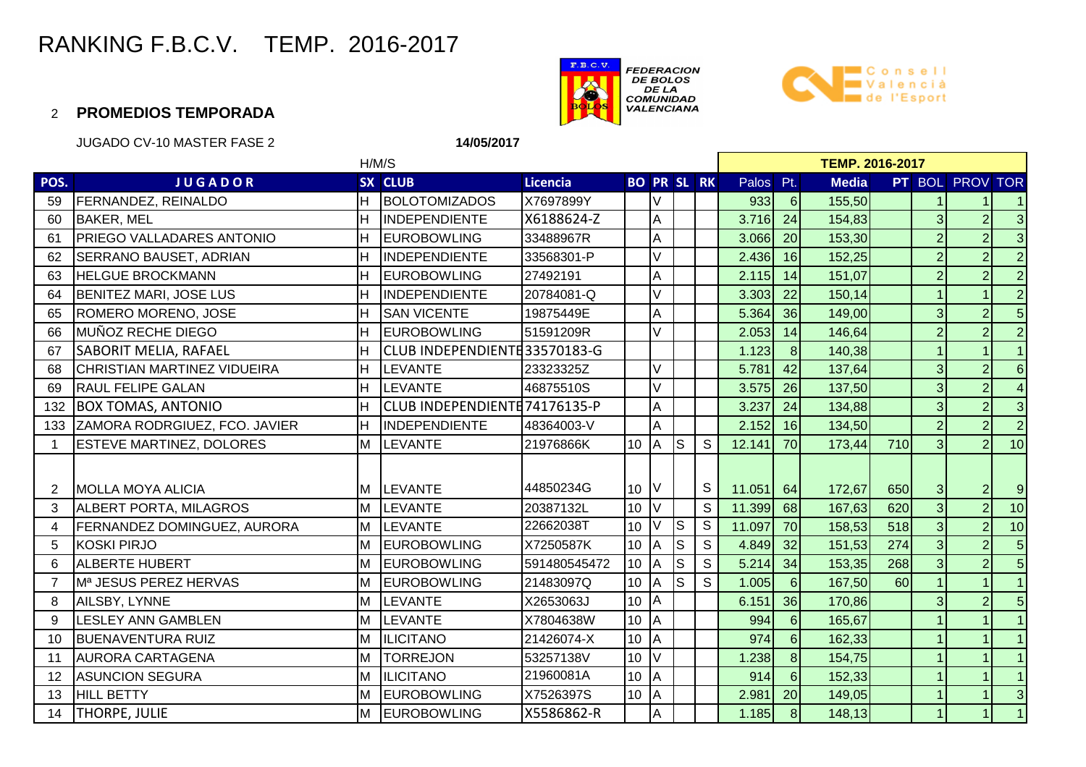



#### 2 **PROMEDIOS TEMPORADA**

JUGADO CV-10 MASTER FASE 2

**14/05/2017**

|                | H/M/S                            |    |                               |                 |                    |          |           |              |           | <b>TEMP. 2016-2017</b> |              |     |                |                 |                         |  |  |
|----------------|----------------------------------|----|-------------------------------|-----------------|--------------------|----------|-----------|--------------|-----------|------------------------|--------------|-----|----------------|-----------------|-------------------------|--|--|
| POS.           | <b>JUGADOR</b>                   |    | SX CLUB                       | <b>Licencia</b> | <b>BO PR SL RK</b> |          |           |              | Palos Pt. |                        | <b>Media</b> |     |                | PT BOL PROV TOR |                         |  |  |
| 59             | <b>FERNANDEZ, REINALDO</b>       | H  | <b>BOLOTOMIZADOS</b>          | X7697899Y       |                    | V        |           |              | 933       | $6 \overline{6}$       | 155,50       |     |                |                 |                         |  |  |
| 60             | <b>BAKER, MEL</b>                | н  | INDEPENDIENTE                 | X6188624-Z      |                    | A        |           |              | 3.716     | 24                     | 154,83       |     | 3              | $\overline{2}$  | $\overline{3}$          |  |  |
| 61             | <b>PRIEGO VALLADARES ANTONIO</b> |    | <b>EUROBOWLING</b>            | 33488967R       |                    | A        |           |              | 3.066     | 20                     | 153,30       |     | $\overline{2}$ | $\overline{2}$  | $\overline{3}$          |  |  |
| 62             | SERRANO BAUSET, ADRIAN           |    | INDEPENDIENTE                 | 33568301-P      |                    |          |           |              | 2.436     | 16                     | 152,25       |     | $\overline{2}$ | $\overline{2}$  | $\overline{2}$          |  |  |
| 63             | <b>HELGUE BROCKMANN</b>          |    | <b>EUROBOWLING</b>            | 27492191        |                    | A        |           |              | 2.115     | 14                     | 151,07       |     | $\overline{2}$ | $\overline{2}$  | $\overline{2}$          |  |  |
| 64             | <b>BENITEZ MARI, JOSE LUS</b>    |    | INDEPENDIENTE                 | 20784081-Q      |                    | V        |           |              | 3.303     | 22                     | 150,14       |     |                |                 | $\overline{2}$          |  |  |
| 65             | ROMERO MORENO, JOSE              |    | <b>SAN VICENTE</b>            | 19875449E       |                    | A        |           |              | 5.364     | 36                     | 149,00       |     | 3              | $\overline{2}$  | $\overline{5}$          |  |  |
| 66             | MUÑOZ RECHE DIEGO                |    | <b>EUROBOWLING</b>            | 51591209R       |                    | V        |           |              | 2.053     | 14                     | 146,64       |     | $\overline{2}$ | $\overline{2}$  | $\overline{2}$          |  |  |
| 67             | <b>SABORIT MELIA, RAFAEL</b>     |    | CLUB INDEPENDIENTE33570183-G  |                 |                    |          |           |              | 1.123     | $\overline{8}$         | 140,38       |     |                |                 | $\overline{1}$          |  |  |
| 68             | CHRISTIAN MARTINEZ VIDUEIRA      | Η  | <b>LEVANTE</b>                | 23323325Z       |                    | V        |           |              | 5.781     | 42                     | 137,64       |     | 3              | $\overline{2}$  | $6 \mid$                |  |  |
| 69             | <b>RAUL FELIPE GALAN</b>         | H  | <b>LEVANTE</b>                | 46875510S       |                    | V        |           |              | 3.575     | 26                     | 137,50       |     | 3              | $\overline{2}$  | $\overline{\mathbf{4}}$ |  |  |
| 132            | <b>BOX TOMAS, ANTONIO</b>        |    | CLUB INDEPENDIENTE 74176135-P |                 |                    | A        |           |              | 3.237     | 24                     | 134,88       |     | 3              | $\overline{2}$  | $\overline{3}$          |  |  |
| 133            | ZAMORA RODRGIUEZ, FCO. JAVIER    |    | IINDEPENDIENTE                | 48364003-V      |                    | A        |           |              | 2.152     | 16                     | 134,50       |     |                | $\overline{2}$  | $\overline{2}$          |  |  |
|                | <b>ESTEVE MARTINEZ, DOLORES</b>  | M  | <b>LEVANTE</b>                | 21976866K       | 10 <sup>1</sup>    | A        | ls.       | S            | 12.141    | 70                     | 173,44       | 710 | $\overline{3}$ | $\overline{2}$  | 10                      |  |  |
|                |                                  |    |                               |                 |                    |          |           |              |           |                        |              |     |                |                 |                         |  |  |
| 2              | <b>MOLLA MOYA ALICIA</b>         |    | M LEVANTE                     | 44850234G       | 10 <sup>1</sup>    |          |           | S            | 11.051    | 64                     | 172,67       | 650 | 3              | 2               | $\overline{9}$          |  |  |
| 3              | ALBERT PORTA, MILAGROS           | ΙM | <b>LEVANTE</b>                | 20387132L       | 10                 | V        |           | S            | 11.399    | 68                     | 167,63       | 620 | $\omega$       | $\overline{2}$  | 10                      |  |  |
| 4              | FERNANDEZ DOMINGUEZ, AURORA      | M  | <b>ILEVANTE</b>               | 22662038T       | 10                 | V        | $\vert$ S | S            | 11.097    | 70                     | 158,53       | 518 | $\overline{3}$ | $\overline{2}$  | 10                      |  |  |
| 5              | KOSKI PIRJO                      | M  | <b>EUROBOWLING</b>            | X7250587K       | 10                 | A        | $\vert$ S | S            | 4.849     | 32                     | 151,53       | 274 | $\overline{3}$ | $\overline{2}$  | 5 <sup>1</sup>          |  |  |
| 6              | <b>ALBERTE HUBERT</b>            | М  | <b>EUROBOWLING</b>            | 591480545472    | 10 <sup>1</sup>    | ΙA       | ls.       | S            | 5.214     | 34                     | 153,35       | 268 | $\overline{3}$ | $\overline{2}$  | 5 <sup>1</sup>          |  |  |
| $\overline{7}$ | Mª JESUS PEREZ HERVAS            | M  | <b>EUROBOWLING</b>            | 21483097Q       | 10                 | <b>A</b> | ls.       | $\mathsf{S}$ | 1.005     | $6 \overline{6}$       | 167,50       | 60  |                |                 | $\overline{1}$          |  |  |
| 8              | AILSBY, LYNNE                    | М  | <b>LEVANTE</b>                | X2653063J       | 10 <sup>°</sup>    | ΙA       |           |              | 6.151     | 36                     | 170,86       |     | 3              | $\overline{2}$  | 5 <sub>5</sub>          |  |  |
| 9              | LESLEY ANN GAMBLEN               | М  | LEVANTE                       | X7804638W       | 10                 | A        |           |              | 994       | $6 \overline{6}$       | 165,67       |     |                |                 |                         |  |  |
| 10             | <b>BUENAVENTURA RUIZ</b>         | М  | <b>ILICITANO</b>              | 21426074-X      | 10 <sup>1</sup>    | A        |           |              | 974       | $6 \overline{6}$       | 162,33       |     |                |                 |                         |  |  |
| 11             | <b>AURORA CARTAGENA</b>          | M  | <b>TORREJON</b>               | 53257138V       | 10 <sup>1</sup>    | V        |           |              | 1.238     | $\bf{8}$               | 154,75       |     |                |                 | $\mathbf{1}$            |  |  |
| 12             | <b>ASUNCION SEGURA</b>           |    | <b>ILICITANO</b>              | 21960081A       | 10                 | A        |           |              | 914       | $6 \overline{6}$       | 152,33       |     |                |                 | $\mathbf{1}$            |  |  |
| 13             | <b>HILL BETTY</b>                | Iм | <b>EUROBOWLING</b>            | X7526397S       | 10 <sup>1</sup>    | <b>A</b> |           |              | 2.981     | 20                     | 149,05       |     |                |                 | $\overline{3}$          |  |  |
| 14             | <b>THORPE, JULIE</b>             | M  | <b>EUROBOWLING</b>            | X5586862-R      |                    | A        |           |              | 1.185     | 8 <sup>1</sup>         | 148,13       |     |                |                 |                         |  |  |